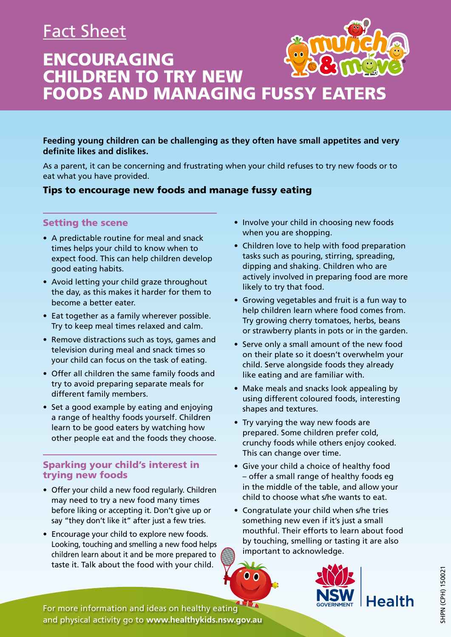# Fact Sheet



ENCOURAGING CHILDREN TO TRY NEW FOODS AND MANAGING FUSSY EATERS

**Feeding young children can be challenging as they often have small appetites and very definite likes and dislikes.**

As a parent, it can be concerning and frustrating when your child refuses to try new foods or to eat what you have provided.

### Tips to encourage new foods and manage fussy eating

#### Setting the scene

- A predictable routine for meal and snack times helps your child to know when to expect food. This can help children develop good eating habits.
- Avoid letting your child graze throughout the day, as this makes it harder for them to become a better eater.
- Eat together as a family wherever possible. Try to keep meal times relaxed and calm.
- Remove distractions such as toys, games and television during meal and snack times so your child can focus on the task of eating.
- Offer all children the same family foods and try to avoid preparing separate meals for different family members.
- Set a good example by eating and enjoying a range of healthy foods yourself. Children learn to be good eaters by watching how other people eat and the foods they choose.

#### Sparking your child's interest in trying new foods

- Offer your child a new food regularly. Children may need to try a new food many times before liking or accepting it. Don't give up or say "they don't like it" after just a few tries.
- Encourage your child to explore new foods. Looking, touching and smelling a new food helps children learn about it and be more prepared to taste it. Talk about the food with your child.
- Involve your child in choosing new foods when you are shopping.
- Children love to help with food preparation tasks such as pouring, stirring, spreading, dipping and shaking. Children who are actively involved in preparing food are more likely to try that food.
- Growing vegetables and fruit is a fun way to help children learn where food comes from. Try growing cherry tomatoes, herbs, beans or strawberry plants in pots or in the garden.
- Serve only a small amount of the new food on their plate so it doesn't overwhelm your child. Serve alongside foods they already like eating and are familiar with.
- Make meals and snacks look appealing by using different coloured foods, interesting shapes and textures.
- Try varying the way new foods are prepared. Some children prefer cold, crunchy foods while others enjoy cooked. This can change over time.
- Give your child a choice of healthy food – offer a small range of healthy foods eg in the middle of the table, and allow your child to choose what s/he wants to eat.
- Congratulate your child when s/he tries something new even if it's just a small mouthful. Their efforts to learn about food by touching, smelling or tasting it are also important to acknowledge.

 $0<sub>0</sub>$ 



For more information and ideas on healthy eating and physical activity go to **www.healthykids.nsw.gov.au**